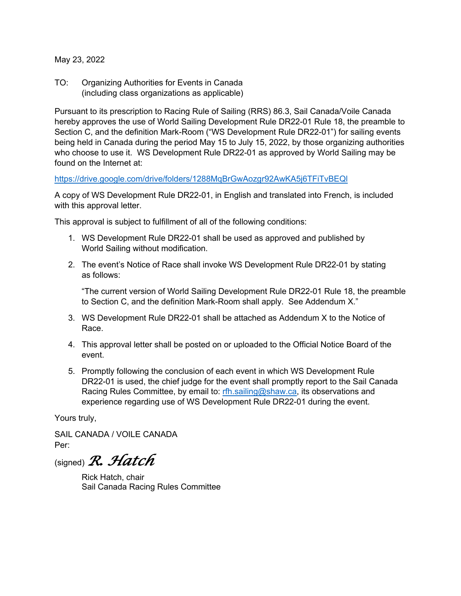May 23, 2022

TO: Organizing Authorities for Events in Canada (including class organizations as applicable)

Pursuant to its prescription to Racing Rule of Sailing (RRS) 86.3, Sail Canada/Voile Canada hereby approves the use of World Sailing Development Rule DR22-01 Rule 18, the preamble to Section C, and the definition Mark-Room ("WS Development Rule DR22-01") for sailing events being held in Canada during the period May 15 to July 15, 2022, by those organizing authorities who choose to use it. WS Development Rule DR22-01 as approved by World Sailing may be found on the Internet at:

# https://drive.google.com/drive/folders/1288MqBrGwAozgr92AwKA5j6TFiTvBEQl

A copy of WS Development Rule DR22-01, in English and translated into French, is included with this approval letter.

This approval is subject to fulfillment of all of the following conditions:

- 1. WS Development Rule DR22-01 shall be used as approved and published by World Sailing without modification.
- 2. The event's Notice of Race shall invoke WS Development Rule DR22-01 by stating as follows:

"The current version of World Sailing Development Rule DR22-01 Rule 18, the preamble to Section C, and the definition Mark-Room shall apply. See Addendum X."

- 3. WS Development Rule DR22-01 shall be attached as Addendum X to the Notice of Race.
- 4. This approval letter shall be posted on or uploaded to the Official Notice Board of the event.
- 5. Promptly following the conclusion of each event in which WS Development Rule DR22-01 is used, the chief judge for the event shall promptly report to the Sail Canada Racing Rules Committee, by email to: rfh.sailing@shaw.ca, its observations and experience regarding use of WS Development Rule DR22-01 during the event.

Yours truly,

SAIL CANADA / VOILE CANADA Per:

(signed) *R. Hatch*

Rick Hatch, chair Sail Canada Racing Rules Committee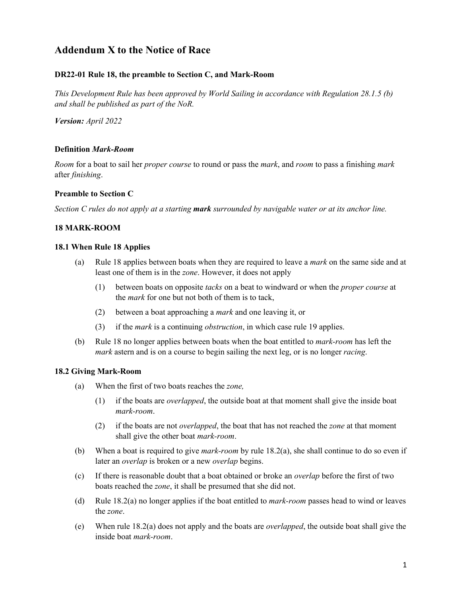# **Addendum X to the Notice of Race**

# **DR22-01 Rule 18, the preamble to Section C, and Mark-Room**

*This Development Rule has been approved by World Sailing in accordance with Regulation* 28.1.5 *(b) and shall be published as part of the NoR.*

*Version: April 2022*

### **Definition** *Mark-Room*

*Room* for a boat to sail her *proper course* to round or pass the *mark*, and *room* to pass a finishing *mark*  after *finishing*.

### **Preamble to Section C**

*Section C rules do not apply at a starting mark surrounded by navigable water or at its anchor line.*

### **18 MARK-ROOM**

### **18.1 When Rule 18 Applies**

- (a) Rule 18 applies between boats when they are required to leave a *mark* on the same side and at least one of them is in the *zone*. However, it does not apply
	- (1) between boats on opposite *tacks* on a beat to windward or when the *proper course* at the *mark* for one but not both of them is to tack,
	- (2) between a boat approaching a *mark* and one leaving it, or
	- (3) if the *mark* is a continuing *obstruction*, in which case rule 19 applies.
- (b) Rule 18 no longer applies between boats when the boat entitled to *mark-room* has left the *mark* astern and is on a course to begin sailing the next leg, or is no longer *racing*.

#### **18.2 Giving Mark-Room**

- (a) When the first of two boats reaches the *zone,*
	- (1) if the boats are *overlapped*, the outside boat at that moment shall give the inside boat *mark-room*.
	- (2) if the boats are not *overlapped*, the boat that has not reached the *zone* at that moment shall give the other boat *mark-room*.
- (b) When a boat is required to give *mark-room* by rule 18.2(a), she shall continue to do so even if later an *overlap* is broken or a new *overlap* begins.
- (c) If there is reasonable doubt that a boat obtained or broke an *overlap* before the first of two boats reached the *zone*, it shall be presumed that she did not.
- (d) Rule 18.2(a) no longer applies if the boat entitled to *mark-room* passes head to wind or leaves the *zone*.
- (e) When rule 18.2(a) does not apply and the boats are *overlapped*, the outside boat shall give the inside boat *mark-room*.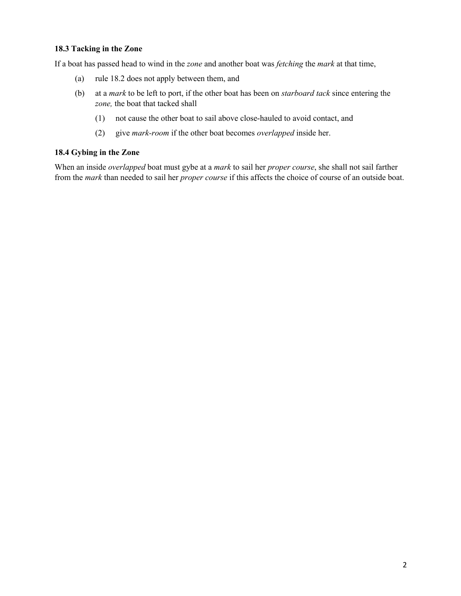### **18.3 Tacking in the Zone**

If a boat has passed head to wind in the *zone* and another boat was *fetching* the *mark* at that time,

- (a) rule 18.2 does not apply between them, and
- (b) at a *mark* to be left to port, if the other boat has been on *starboard tack* since entering the *zone,* the boat that tacked shall
	- (1) not cause the other boat to sail above close-hauled to avoid contact, and
	- (2) give *mark-room* if the other boat becomes *overlapped* inside her.

### **18.4 Gybing in the Zone**

When an inside *overlapped* boat must gybe at a *mark* to sail her *proper course*, she shall not sail farther from the *mark* than needed to sail her *proper course* if this affects the choice of course of an outside boat.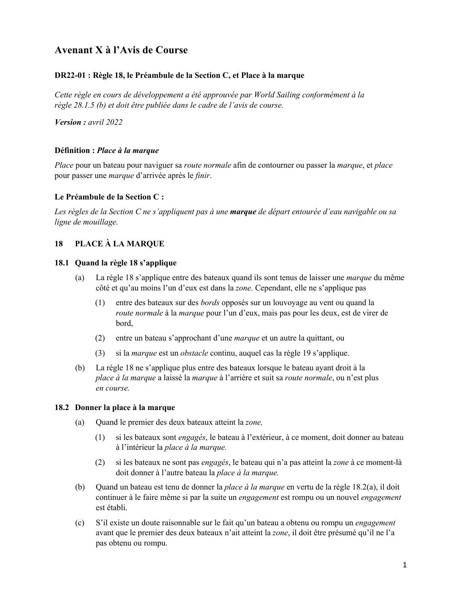# **Avenant X à l'Avis de Course**

# **DR22-01 : Règle 18, le Préambule de la Section C, et Place à la marque**

*Cette règle en cours de développement a été approuvée par World Sailing conformément à la règle 28.1.5 (b) et doit être publiée dans le cadre de l'avis de course.*

*Version : avril 2022*

### **Définition :** *Place à la marque*

*Place* pour un bateau pour naviguer sa *route normale* afin de contourner ou passer la *marque*, et *place* pour passer une *marque* d'arrivée après le *finir*.

### **Le Préambule de la Section C :**

*Les règles de la Section C ne s'appliquent pas à une marque de départ entourée d'eau navigable ou sa ligne de mouillage.*

# **18 PLACE À LA MARQUE**

## **18.1 Quand la règle 18 s'applique**

- (a) La règle 18 s'applique entre des bateaux quand ils sont tenus de laisser une *marque* du même côté et qu'au moins l'un d'eux est dans la *zone.* Cependant, elle ne s'applique pas
	- (1) entre des bateaux sur des *bords* opposés sur un louvoyage au vent ou quand la *route normale* à la *marque* pour l'un d'eux, mais pas pour les deux, est de virer de bord,
	- (2) entre un bateau s'approchant d'une *marque* et un autre la quittant, ou
	- (3) si la *marque* est un *obstacle* continu, auquel cas la règle 19 s'applique.
- (b) La règle 18 ne s'applique plus entre des bateaux lorsque le bateau ayant droit à la *place à la marque* a laissé la *marque* à l'arrière et suit sa *route normale*, ou n'est plus *en course.*

### **18.2 Donner la place à la marque**

- (a) Quand le premier des deux bateaux atteint la *zone,*
	- (1) si les bateaux sont *engagés*, le bateau à l'extérieur, à ce moment, doit donner au bateau à l'intérieur la *place à la marque.*
	- (2) si les bateaux ne sont pas *engagés*, le bateau qui n'a pas atteint la *zone* à ce moment-là doit donner à l'autre bateau la *place à la marque.*
- (b) Quand un bateau est tenu de donner la *place à la marque* en vertu de la règle 18.2(a), il doit continuer à le faire même si par la suite un *engagement* est rompu ou un nouvel *engagement* est établi.
- (c) S'il existe un doute raisonnable sur le fait qu'un bateau a obtenu ou rompu un *engagement* avant que le premier des deux bateaux n'ait atteint la *zone*, il doit être présumé qu'il ne l'a pas obtenu ou rompu.